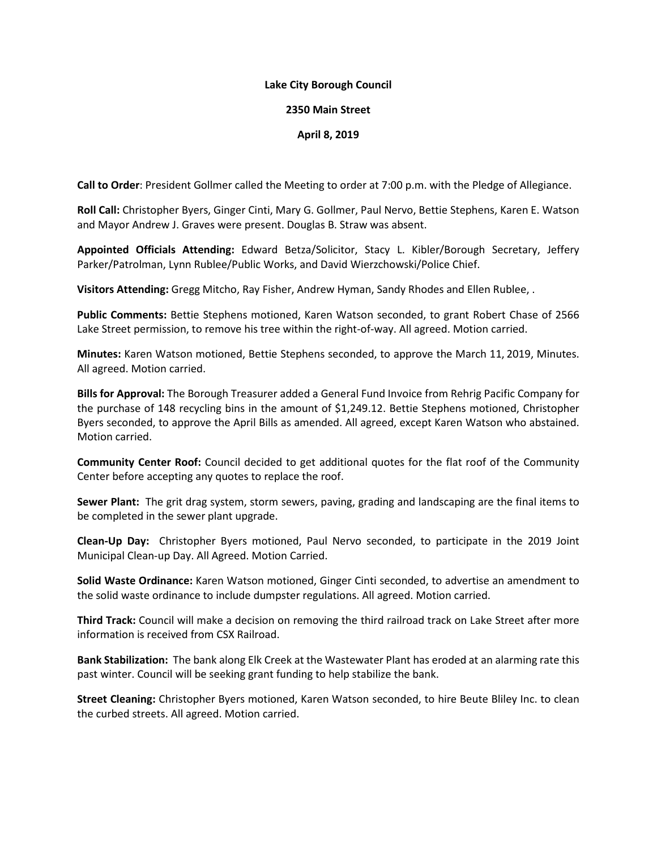## **Lake City Borough Council**

## **2350 Main Street**

## **April 8, 2019**

**Call to Order**: President Gollmer called the Meeting to order at 7:00 p.m. with the Pledge of Allegiance.

**Roll Call:** Christopher Byers, Ginger Cinti, Mary G. Gollmer, Paul Nervo, Bettie Stephens, Karen E. Watson and Mayor Andrew J. Graves were present. Douglas B. Straw was absent.

**Appointed Officials Attending:** Edward Betza/Solicitor, Stacy L. Kibler/Borough Secretary, Jeffery Parker/Patrolman, Lynn Rublee/Public Works, and David Wierzchowski/Police Chief.

**Visitors Attending:** Gregg Mitcho, Ray Fisher, Andrew Hyman, Sandy Rhodes and Ellen Rublee, .

**Public Comments:** Bettie Stephens motioned, Karen Watson seconded, to grant Robert Chase of 2566 Lake Street permission, to remove his tree within the right-of-way. All agreed. Motion carried.

**Minutes:** Karen Watson motioned, Bettie Stephens seconded, to approve the March 11, 2019, Minutes. All agreed. Motion carried.

**Bills for Approval:** The Borough Treasurer added a General Fund Invoice from Rehrig Pacific Company for the purchase of 148 recycling bins in the amount of \$1,249.12. Bettie Stephens motioned, Christopher Byers seconded, to approve the April Bills as amended. All agreed, except Karen Watson who abstained. Motion carried.

**Community Center Roof:** Council decided to get additional quotes for the flat roof of the Community Center before accepting any quotes to replace the roof.

**Sewer Plant:** The grit drag system, storm sewers, paving, grading and landscaping are the final items to be completed in the sewer plant upgrade.

**Clean-Up Day:** Christopher Byers motioned, Paul Nervo seconded, to participate in the 2019 Joint Municipal Clean-up Day. All Agreed. Motion Carried.

**Solid Waste Ordinance:** Karen Watson motioned, Ginger Cinti seconded, to advertise an amendment to the solid waste ordinance to include dumpster regulations. All agreed. Motion carried.

**Third Track:** Council will make a decision on removing the third railroad track on Lake Street after more information is received from CSX Railroad.

**Bank Stabilization:** The bank along Elk Creek at the Wastewater Plant has eroded at an alarming rate this past winter. Council will be seeking grant funding to help stabilize the bank.

**Street Cleaning:** Christopher Byers motioned, Karen Watson seconded, to hire Beute Bliley Inc. to clean the curbed streets. All agreed. Motion carried.